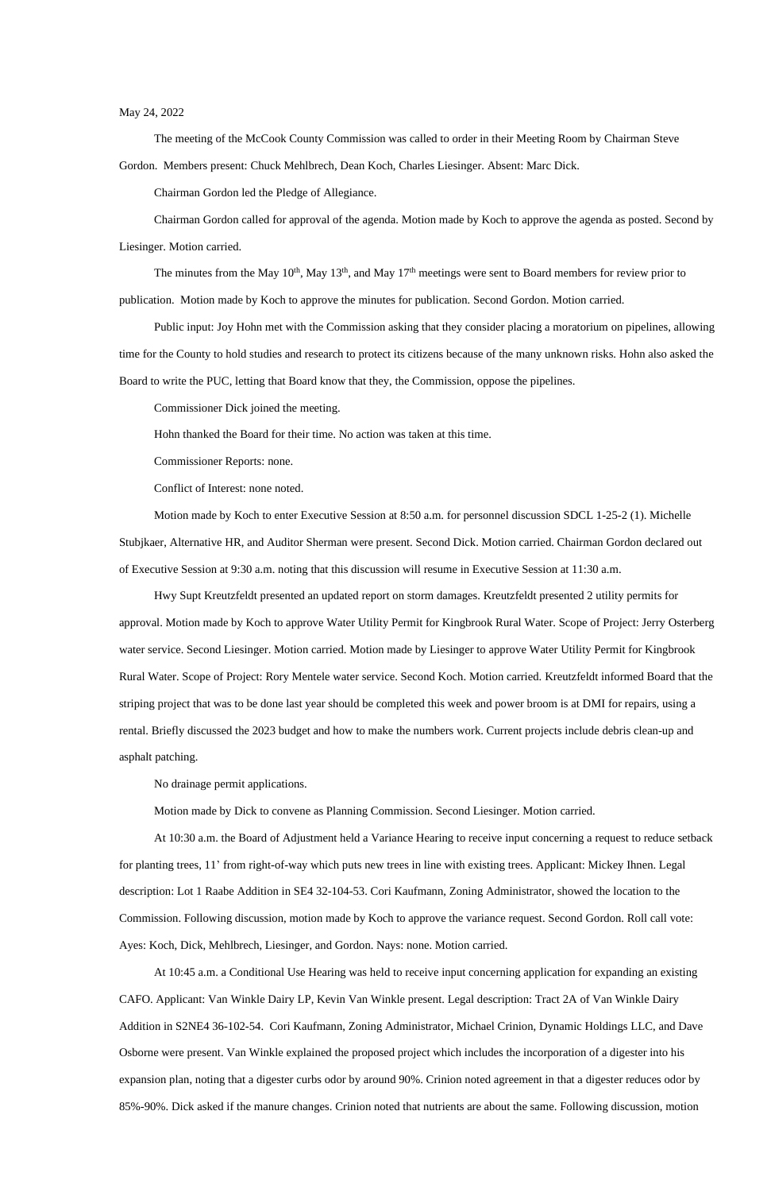#### May 24, 2022

The meeting of the McCook County Commission was called to order in their Meeting Room by Chairman Steve Gordon. Members present: Chuck Mehlbrech, Dean Koch, Charles Liesinger. Absent: Marc Dick.

Chairman Gordon led the Pledge of Allegiance.

Chairman Gordon called for approval of the agenda. Motion made by Koch to approve the agenda as posted. Second by Liesinger. Motion carried.

The minutes from the May  $10^{th}$ , May  $13^{th}$ , and May  $17^{th}$  meetings were sent to Board members for review prior to

publication. Motion made by Koch to approve the minutes for publication. Second Gordon. Motion carried.

Public input: Joy Hohn met with the Commission asking that they consider placing a moratorium on pipelines, allowing time for the County to hold studies and research to protect its citizens because of the many unknown risks. Hohn also asked the Board to write the PUC, letting that Board know that they, the Commission, oppose the pipelines.

Commissioner Dick joined the meeting.

Hohn thanked the Board for their time. No action was taken at this time.

Commissioner Reports: none.

Conflict of Interest: none noted.

Motion made by Koch to enter Executive Session at 8:50 a.m. for personnel discussion SDCL 1-25-2 (1). Michelle Stubjkaer, Alternative HR, and Auditor Sherman were present. Second Dick. Motion carried. Chairman Gordon declared out of Executive Session at 9:30 a.m. noting that this discussion will resume in Executive Session at 11:30 a.m.

Hwy Supt Kreutzfeldt presented an updated report on storm damages. Kreutzfeldt presented 2 utility permits for approval. Motion made by Koch to approve Water Utility Permit for Kingbrook Rural Water. Scope of Project: Jerry Osterberg water service. Second Liesinger. Motion carried. Motion made by Liesinger to approve Water Utility Permit for Kingbrook Rural Water. Scope of Project: Rory Mentele water service. Second Koch. Motion carried. Kreutzfeldt informed Board that the striping project that was to be done last year should be completed this week and power broom is at DMI for repairs, using a rental. Briefly discussed the 2023 budget and how to make the numbers work. Current projects include debris clean-up and asphalt patching.

No drainage permit applications.

Motion made by Dick to convene as Planning Commission. Second Liesinger. Motion carried.

At 10:30 a.m. the Board of Adjustment held a Variance Hearing to receive input concerning a request to reduce setback for planting trees, 11' from right-of-way which puts new trees in line with existing trees. Applicant: Mickey Ihnen. Legal

description: Lot 1 Raabe Addition in SE4 32-104-53. Cori Kaufmann, Zoning Administrator, showed the location to the

Commission. Following discussion, motion made by Koch to approve the variance request. Second Gordon. Roll call vote: Ayes: Koch, Dick, Mehlbrech, Liesinger, and Gordon. Nays: none. Motion carried.

At 10:45 a.m. a Conditional Use Hearing was held to receive input concerning application for expanding an existing CAFO. Applicant: Van Winkle Dairy LP, Kevin Van Winkle present. Legal description: Tract 2A of Van Winkle Dairy Addition in S2NE4 36-102-54. Cori Kaufmann, Zoning Administrator, Michael Crinion, Dynamic Holdings LLC, and Dave Osborne were present. Van Winkle explained the proposed project which includes the incorporation of a digester into his expansion plan, noting that a digester curbs odor by around 90%. Crinion noted agreement in that a digester reduces odor by 85%-90%. Dick asked if the manure changes. Crinion noted that nutrients are about the same. Following discussion, motion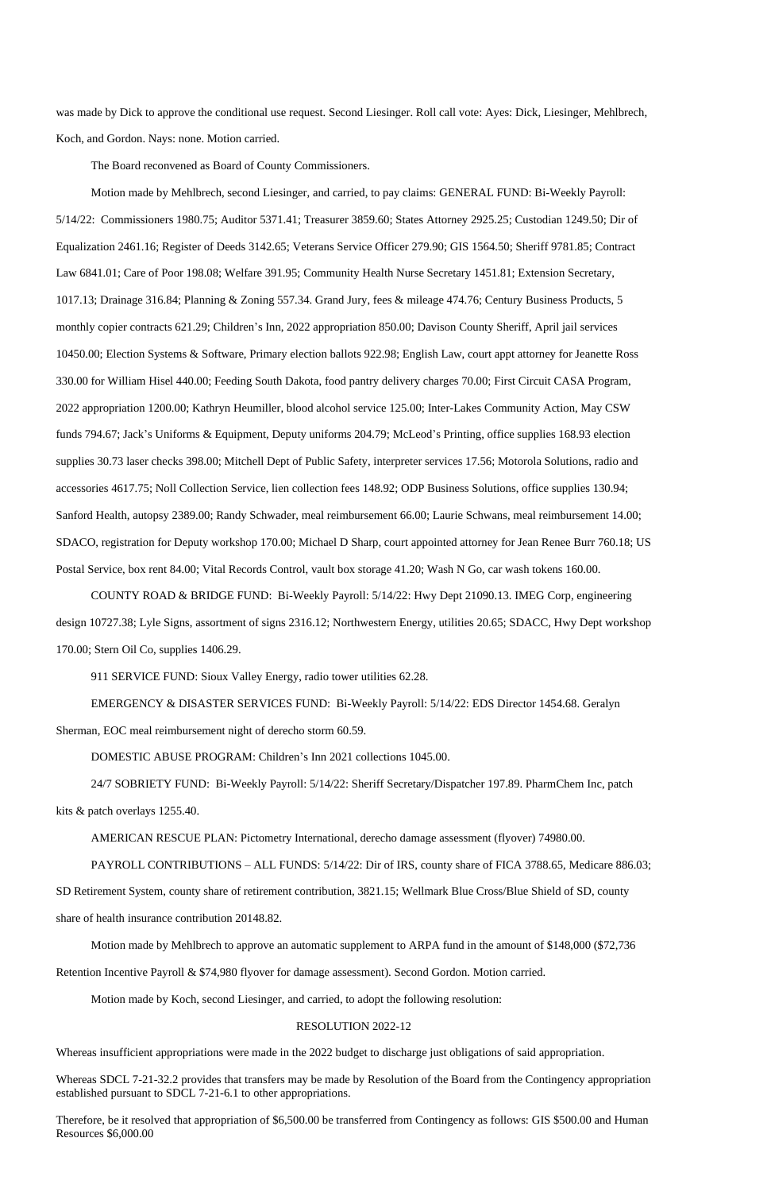was made by Dick to approve the conditional use request. Second Liesinger. Roll call vote: Ayes: Dick, Liesinger, Mehlbrech, Koch, and Gordon. Nays: none. Motion carried.

The Board reconvened as Board of County Commissioners.

Motion made by Mehlbrech, second Liesinger, and carried, to pay claims: GENERAL FUND: Bi-Weekly Payroll: 5/14/22: Commissioners 1980.75; Auditor 5371.41; Treasurer 3859.60; States Attorney 2925.25; Custodian 1249.50; Dir of Equalization 2461.16; Register of Deeds 3142.65; Veterans Service Officer 279.90; GIS 1564.50; Sheriff 9781.85; Contract Law 6841.01; Care of Poor 198.08; Welfare 391.95; Community Health Nurse Secretary 1451.81; Extension Secretary, 1017.13; Drainage 316.84; Planning & Zoning 557.34. Grand Jury, fees & mileage 474.76; Century Business Products, 5 monthly copier contracts 621.29; Children's Inn, 2022 appropriation 850.00; Davison County Sheriff, April jail services 10450.00; Election Systems & Software, Primary election ballots 922.98; English Law, court appt attorney for Jeanette Ross 330.00 for William Hisel 440.00; Feeding South Dakota, food pantry delivery charges 70.00; First Circuit CASA Program, 2022 appropriation 1200.00; Kathryn Heumiller, blood alcohol service 125.00; Inter-Lakes Community Action, May CSW funds 794.67; Jack's Uniforms & Equipment, Deputy uniforms 204.79; McLeod's Printing, office supplies 168.93 election supplies 30.73 laser checks 398.00; Mitchell Dept of Public Safety, interpreter services 17.56; Motorola Solutions, radio and accessories 4617.75; Noll Collection Service, lien collection fees 148.92; ODP Business Solutions, office supplies 130.94; Sanford Health, autopsy 2389.00; Randy Schwader, meal reimbursement 66.00; Laurie Schwans, meal reimbursement 14.00; SDACO, registration for Deputy workshop 170.00; Michael D Sharp, court appointed attorney for Jean Renee Burr 760.18; US Postal Service, box rent 84.00; Vital Records Control, vault box storage 41.20; Wash N Go, car wash tokens 160.00.

COUNTY ROAD & BRIDGE FUND: Bi-Weekly Payroll: 5/14/22: Hwy Dept 21090.13. IMEG Corp, engineering design 10727.38; Lyle Signs, assortment of signs 2316.12; Northwestern Energy, utilities 20.65; SDACC, Hwy Dept workshop 170.00; Stern Oil Co, supplies 1406.29.

911 SERVICE FUND: Sioux Valley Energy, radio tower utilities 62.28.

EMERGENCY & DISASTER SERVICES FUND: Bi-Weekly Payroll: 5/14/22: EDS Director 1454.68. Geralyn Sherman, EOC meal reimbursement night of derecho storm 60.59.

DOMESTIC ABUSE PROGRAM: Children's Inn 2021 collections 1045.00.

24/7 SOBRIETY FUND: Bi-Weekly Payroll: 5/14/22: Sheriff Secretary/Dispatcher 197.89. PharmChem Inc, patch kits & patch overlays 1255.40.

AMERICAN RESCUE PLAN: Pictometry International, derecho damage assessment (flyover) 74980.00.

PAYROLL CONTRIBUTIONS – ALL FUNDS: 5/14/22: Dir of IRS, county share of FICA 3788.65, Medicare 886.03;

SD Retirement System, county share of retirement contribution, 3821.15; Wellmark Blue Cross/Blue Shield of SD, county

share of health insurance contribution 20148.82.

Motion made by Mehlbrech to approve an automatic supplement to ARPA fund in the amount of \$148,000 (\$72,736

Retention Incentive Payroll & \$74,980 flyover for damage assessment). Second Gordon. Motion carried.

Motion made by Koch, second Liesinger, and carried, to adopt the following resolution:

# RESOLUTION 2022-12

Whereas insufficient appropriations were made in the 2022 budget to discharge just obligations of said appropriation.

Whereas SDCL 7-21-32.2 provides that transfers may be made by Resolution of the Board from the Contingency appropriation established pursuant to SDCL 7-21-6.1 to other appropriations.

Therefore, be it resolved that appropriation of \$6,500.00 be transferred from Contingency as follows: GIS \$500.00 and Human Resources \$6,000.00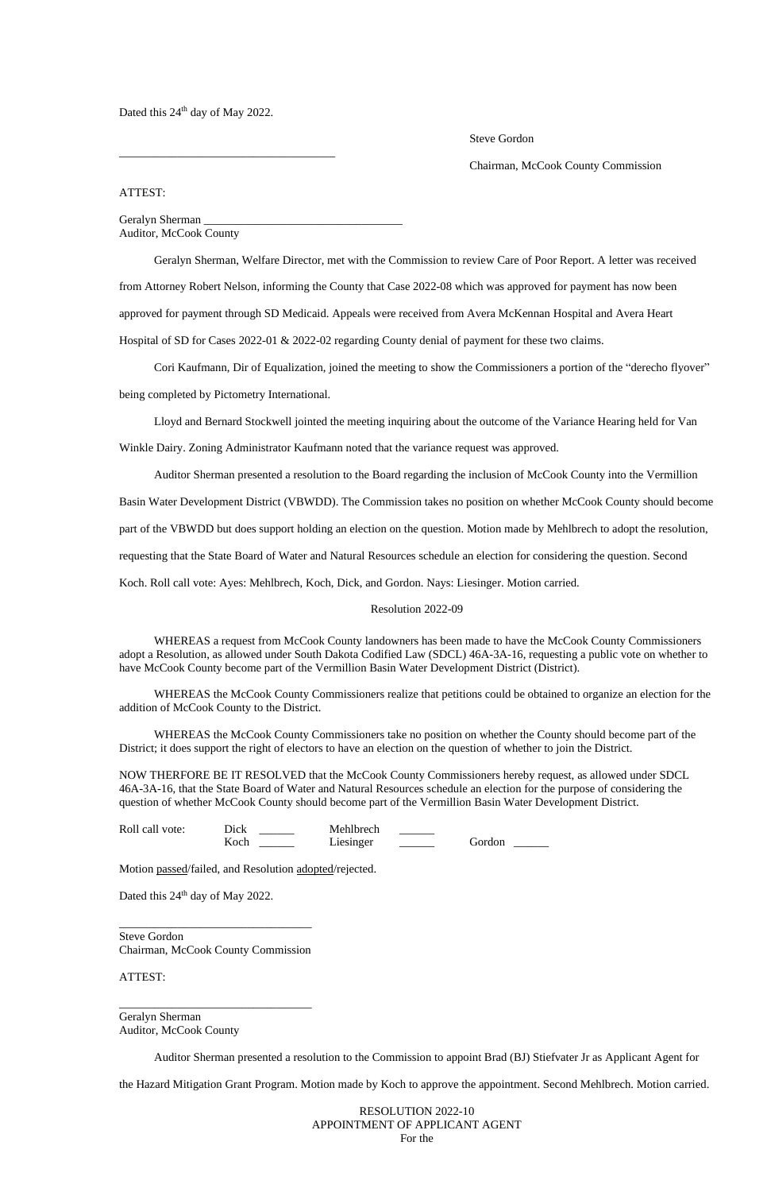### Steve Gordon

Dated this 24<sup>th</sup> day of May 2022.

\_\_\_\_\_\_\_\_\_\_\_\_\_\_\_\_\_\_\_\_\_\_\_\_\_\_\_\_\_\_\_\_\_\_\_\_\_

Chairman, McCook County Commission

### ATTEST:

| Geralyn Sherman               |  |
|-------------------------------|--|
| <b>Auditor, McCook County</b> |  |

Geralyn Sherman, Welfare Director, met with the Commission to review Care of Poor Report. A letter was received from Attorney Robert Nelson, informing the County that Case 2022-08 which was approved for payment has now been approved for payment through SD Medicaid. Appeals were received from Avera McKennan Hospital and Avera Heart Hospital of SD for Cases 2022-01 & 2022-02 regarding County denial of payment for these two claims.

Cori Kaufmann, Dir of Equalization, joined the meeting to show the Commissioners a portion of the "derecho flyover"

being completed by Pictometry International.

Lloyd and Bernard Stockwell jointed the meeting inquiring about the outcome of the Variance Hearing held for Van

Winkle Dairy. Zoning Administrator Kaufmann noted that the variance request was approved.

Auditor Sherman presented a resolution to the Board regarding the inclusion of McCook County into the Vermillion Basin Water Development District (VBWDD). The Commission takes no position on whether McCook County should become part of the VBWDD but does support holding an election on the question. Motion made by Mehlbrech to adopt the resolution, requesting that the State Board of Water and Natural Resources schedule an election for considering the question. Second Koch. Roll call vote: Ayes: Mehlbrech, Koch, Dick, and Gordon. Nays: Liesinger. Motion carried.

## Resolution 2022-09

WHEREAS a request from McCook County landowners has been made to have the McCook County Commissioners adopt a Resolution, as allowed under South Dakota Codified Law (SDCL) 46A-3A-16, requesting a public vote on whether to have McCook County become part of the Vermillion Basin Water Development District (District).

WHEREAS the McCook County Commissioners realize that petitions could be obtained to organize an election for the addition of McCook County to the District.

WHEREAS the McCook County Commissioners take no position on whether the County should become part of the District; it does support the right of electors to have an election on the question of whether to join the District.

NOW THERFORE BE IT RESOLVED that the McCook County Commissioners hereby request, as allowed under SDCL 46A-3A-16, that the State Board of Water and Natural Resources schedule an election for the purpose of considering the question of whether McCook County should become part of the Vermillion Basin Water Development District.

Roll call vote: Dick \_\_\_\_\_\_\_ Mehlbrech Koch Liesinger \_\_\_\_\_ Gordon

Motion passed/failed, and Resolution adopted/rejected.

Dated this  $24<sup>th</sup>$  day of May 2022.

\_\_\_\_\_\_\_\_\_\_\_\_\_\_\_\_\_\_\_\_\_\_\_\_\_\_\_\_\_\_\_\_\_

Steve Gordon Chairman, McCook County Commission

ATTEST:

\_\_\_\_\_\_\_\_\_\_\_\_\_\_\_\_\_\_\_\_\_\_\_\_\_\_\_\_\_\_\_\_\_

Geralyn Sherman Auditor, McCook County

Auditor Sherman presented a resolution to the Commission to appoint Brad (BJ) Stiefvater Jr as Applicant Agent for

the Hazard Mitigation Grant Program. Motion made by Koch to approve the appointment. Second Mehlbrech. Motion carried.

RESOLUTION 2022-10 APPOINTMENT OF APPLICANT AGENT For the